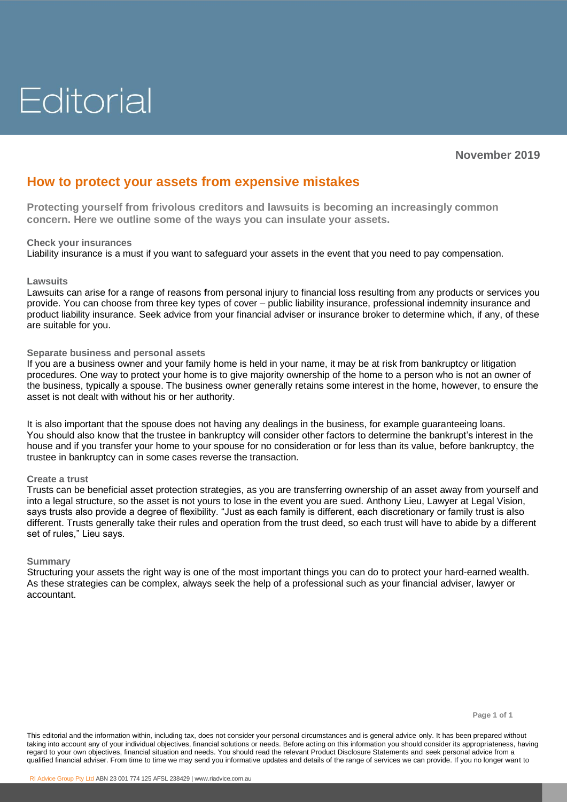# Editorial

## **How to protect your assets from expensive mistakes**

**Protecting yourself from frivolous creditors and lawsuits is becoming an increasingly common concern. Here we outline some of the ways you can insulate your assets.** 

#### **Check your insurances**

Liability insurance is a must if you want to safeguard your assets in the event that you need to pay compensation.

#### **Lawsuits**

Lawsuits can arise for a range of reasons **f**rom personal injury to financial loss resulting from any products or services you provide. You can choose from three key types of cover – public liability insurance, professional indemnity insurance and product liability insurance. Seek advice from your financial adviser or insurance broker to determine which, if any, of these are suitable for you.

### **Separate business and personal assets**

If you are a business owner and your family home is held in your name, it may be at risk from bankruptcy or litigation procedures. One way to protect your home is to give majority ownership of the home to a person who is not an owner of the business, typically a spouse. The business owner generally retains some interest in the home, however, to ensure the asset is not dealt with without his or her authority.

It is also important that the spouse does not having any dealings in the business, for example guaranteeing loans. You should also know that the trustee in bankruptcy will consider other factors to determine the bankrupt's interest in the house and if you transfer your home to your spouse for no consideration or for less than its value, before bankruptcy, the trustee in bankruptcy can in some cases reverse the transaction.

#### **Create a trust**

Trusts can be beneficial asset protection strategies, as you are transferring ownership of an asset away from yourself and into a legal structure, so the asset is not yours to lose in the event you are sued. Anthony Lieu, Lawyer at Legal Vision, says trusts also provide a degree of flexibility. "Just as each family is different, each discretionary or family trust is also different. Trusts generally take their rules and operation from the trust deed, so each trust will have to abide by a different set of rules," Lieu says.

#### **Summary**

Structuring your assets the right way is one of the most important things you can do to protect your hard-earned wealth. As these strategies can be complex, always seek the help of a professional such as your financial adviser, lawyer or accountant.

This editorial and the information within, including tax, does not consider your personal circumstances and is general advice only. It has been prepared without taking into account any of your individual objectives, financial solutions or needs. Before acting on this information you should consider its appropriateness, having regard to your own objectives, financial situation and needs. You should read the relevant Product Disclosure Statements and seek personal advice from a qualified financial adviser. From time to time we may send you informative updates and details of the range of services we can provide. If you no longer want to